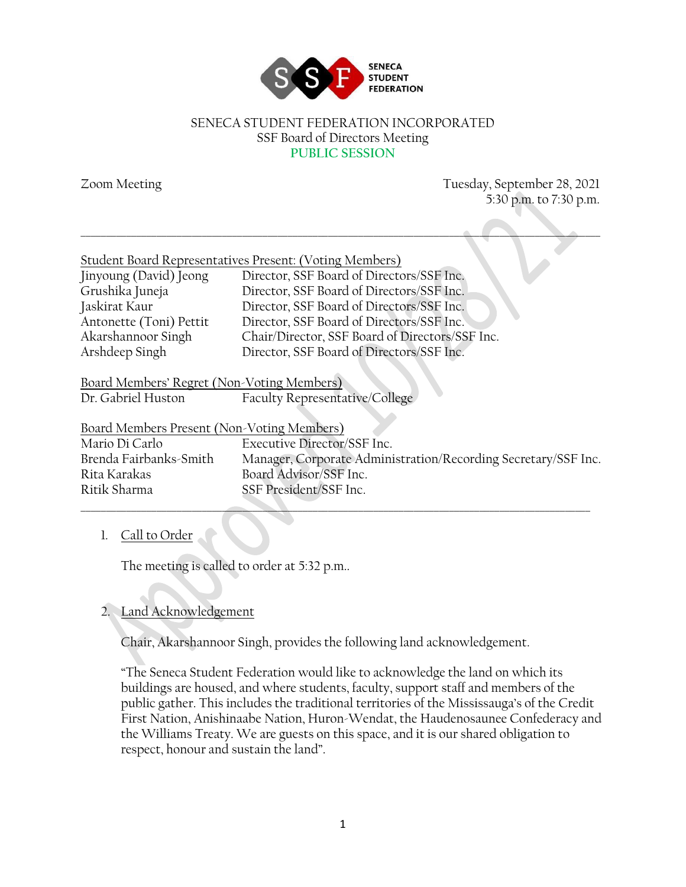

### SENECA STUDENT FEDERATION INCORPORATED SSF Board of Directors Meeting **PUBLIC SESSION**

Zoom Meeting Tuesday, September 28, 2021 5:30 p.m. to 7:30 p.m. \_\_\_\_\_\_\_\_\_\_\_\_\_\_\_\_\_\_\_\_\_\_\_\_\_\_\_\_\_\_\_\_\_\_\_\_\_\_\_\_\_\_\_\_\_\_\_\_\_\_\_\_\_\_\_\_\_\_\_\_\_\_\_\_\_\_\_\_\_\_\_\_\_\_\_\_\_\_\_\_\_\_\_\_\_\_\_\_\_\_\_\_\_\_\_\_\_\_\_\_\_\_\_ Student Board Representatives Present: (Voting Members) Jinyoung (David) Jeong Director, SSF Board of Directors/SSF Inc. Grushika Juneja Director, SSF Board of Directors/SSF Inc. Jaskirat Kaur Director, SSF Board of Directors/SSF Inc. Antonette (Toni) Pettit Director, SSF Board of Directors/SSF Inc. Akarshannoor Singh Chair/Director, SSF Board of Directors/SSF Inc. Arshdeep Singh Director, SSF Board of Directors/SSF Inc. Board Members' Regret (Non-Voting Members) Dr. Gabriel Huston Faculty Representative/College

| Board Members Present (Non-Voting Members) |                                                                |
|--------------------------------------------|----------------------------------------------------------------|
| Mario Di Carlo                             | Executive Director/SSF Inc.                                    |
| Brenda Fairbanks-Smith                     | Manager, Corporate Administration/Recording Secretary/SSF Inc. |
| Rita Karakas                               | Board Advisor/SSF Inc.                                         |
| Ritik Sharma                               | SSF President/SSF Inc.                                         |
|                                            |                                                                |

# 1. Call to Order

The meeting is called to order at 5:32 p.m..

# 2. Land Acknowledgement

Chair, Akarshannoor Singh, provides the following land acknowledgement.

"The Seneca Student Federation would like to acknowledge the land on which its buildings are housed, and where students, faculty, support staff and members of the public gather. This includes the traditional territories of the Mississauga's of the Credit First Nation, Anishinaabe Nation, Huron-Wendat, the Haudenosaunee Confederacy and the Williams Treaty. We are guests on this space, and it is our shared obligation to respect, honour and sustain the land".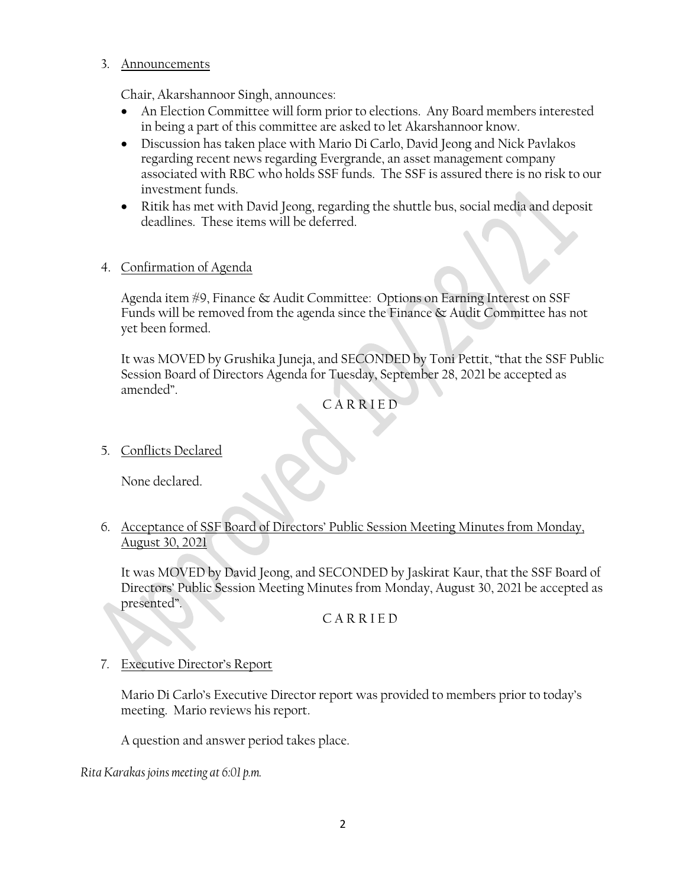### 3. Announcements

Chair, Akarshannoor Singh, announces:

- An Election Committee will form prior to elections. Any Board members interested in being a part of this committee are asked to let Akarshannoor know.
- Discussion has taken place with Mario Di Carlo, David Jeong and Nick Pavlakos regarding recent news regarding Evergrande, an asset management company associated with RBC who holds SSF funds. The SSF is assured there is no risk to our investment funds.
- Ritik has met with David Jeong, regarding the shuttle bus, social media and deposit deadlines. These items will be deferred.

# 4. Confirmation of Agenda

Agenda item #9, Finance & Audit Committee: Options on Earning Interest on SSF Funds will be removed from the agenda since the Finance & Audit Committee has not yet been formed.

It was MOVED by Grushika Juneja, and SECONDED by Toni Pettit, "that the SSF Public Session Board of Directors Agenda for Tuesday, September 28, 2021 be accepted as amended".

C A R R I E D

5. Conflicts Declared

None declared.

6. Acceptance of SSF Board of Directors' Public Session Meeting Minutes from Monday, August 30, 2021

It was MOVED by David Jeong, and SECONDED by Jaskirat Kaur, that the SSF Board of Directors' Public Session Meeting Minutes from Monday, August 30, 2021 be accepted as presented".

# C A R R I E D

# 7. Executive Director's Report

Mario Di Carlo's Executive Director report was provided to members prior to today's meeting. Mario reviews his report.

A question and answer period takes place.

*Rita Karakas joins meeting at 6:01 p.m.*